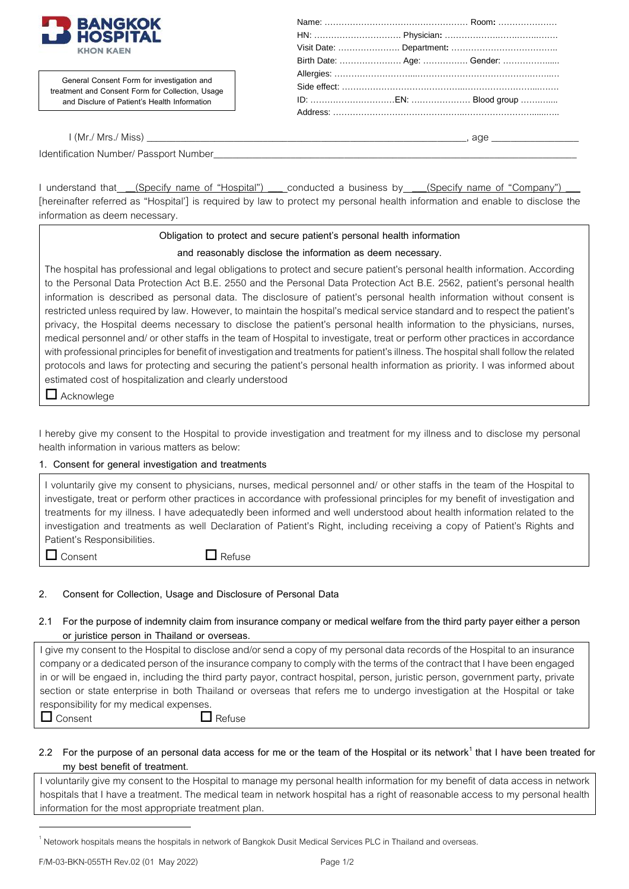

**General Consent Form for investigation and treatment and Consent Form for Collection, Usage and Disclure of Patient's Health Information**

| Birth Date:  Age:  Gender: |  |
|----------------------------|--|
|                            |  |
|                            |  |
|                            |  |
|                            |  |
|                            |  |

I (Mr./ Mrs./ Miss) \_\_\_\_\_\_\_\_\_\_\_\_\_\_\_\_\_\_\_\_\_\_\_\_\_\_\_\_\_\_\_\_\_\_\_\_\_\_\_\_\_\_\_\_\_\_\_\_\_\_\_\_\_\_\_\_\_\_\_\_\_\_\_\_\_\_, age \_\_\_\_\_\_\_\_\_\_\_\_\_\_\_\_\_\_

Identification Number/ Passport Number

I understand that (Specify name of "Hospital") \_\_\_ conducted a business by \_\_\_(Specify name of "Company") [hereinafter referred as "Hospital'] is required by law to protect my personal health information and enable to disclose the information as deem necessary.

### **Obligation to protect and secure patient's personal health information**

### **and reasonably disclose the information as deem necessary.**

The hospital has professional and legal obligations to protect and secure patient's personal health information. According to the Personal Data Protection Act B.E. 2550 and the Personal Data Protection Act B.E. 2562, patient's personal health information is described as personal data. The disclosure of patient's personal health information without consent is restricted unless required by law. However, to maintain the hospital's medical service standard and to respect the patient's privacy, the Hospital deems necessary to disclose the patient's personal health information to the physicians, nurses, medical personnel and/ or other staffs in the team of Hospital to investigate, treat or perform other practicesin accordance with professional principles for benefit of investigation and treatments for patient's illness. The hospital shall follow the related protocols and laws for protecting and securing the patient's personal health information as priority. I was informed about estimated cost of hospitalization and clearly understood

Acknowlege

I hereby give my consent to the Hospital to provide investigation and treatment for my illness and to disclose my personal health information in various matters as below:

### **1. Consent for general investigation and treatments**

I voluntarily give my consent to physicians, nurses, medical personnel and/ or other staffs in the team of the Hospital to investigate, treat or perform other practices in accordance with professional principles for my benefit of investigation and treatments for my illness. I have adequatedly been informed and well understood about health information related to the investigation and treatments as well Declaration of Patient's Right, including receiving a copy of Patient's Rights and Patient's Responsibilities.

 $\Box$  Consent  $\Box$  Refuse

# **2. Consent for Collection, Usage and Disclosure of Personal Data**

## **2.1 For the purpose of indemnity claim from insurance company or medical welfarefrom the third party payer either a person or juristice person in Thailand or overseas.**

I give my consent to the Hospital to disclose and/or send a copy of my personal data records of the Hospital to an insurance company or a dedicated person of the insurance company to comply with the terms of thecontract that I have been engaged in or will be engaed in, including the third party payor, contract hospital, person, juristic person, government party, private section or state enterprise in both Thailand or overseas that refers me to undergo investigation at the Hospital or take responsibility for my medical expenses.

 $\Box$  Consent  $\Box$  Refuse

## **2.2 For the purpose of an personal data access for me or the team of the Hospital or its network<sup>1</sup> that I have been treated for my best benefit of treatment.**

I voluntarily give my consent to the Hospital to manage my personal health information for my benefit of data access in network hospitals that I have a treatment. The medical team in network hospital has a right of reasonable access to my personal health information for the most appropriate treatment plan.

F/M-03-BKN-055TH Rev.02(01 May2022) Page 1/2

 $\overline{a}$ 

 $^{\rm 1}$  Netowork hospitals means the hospitals in network of Bangkok Dusit Medical Services PLC in Thailand and overseas.